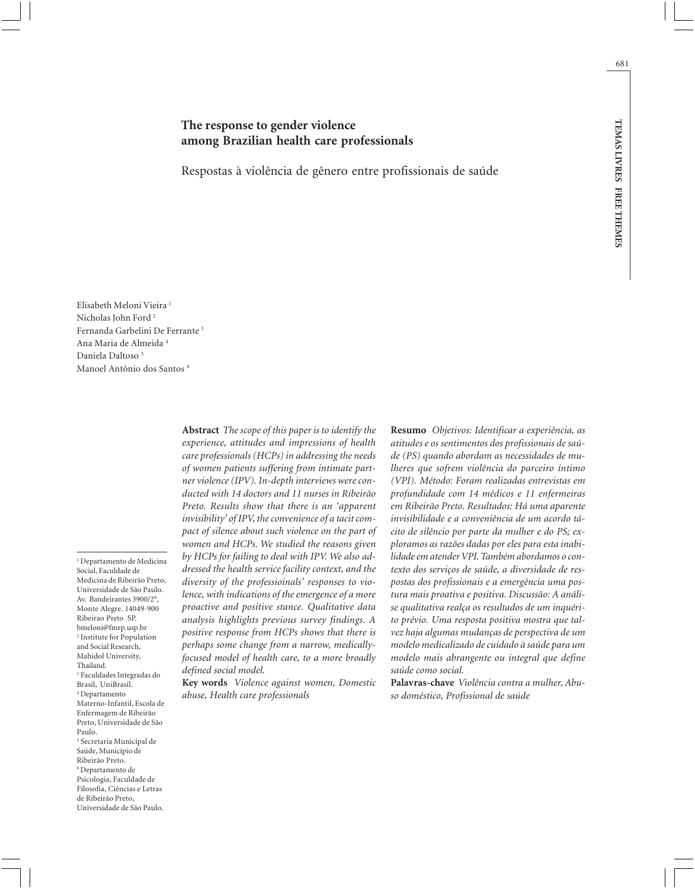# **The response to gender violence among Brazilian health care professionals**

Respostas à violência de gênero entre profissionais de saúde

Elisabeth Meloni Vieira<sup>1</sup> Nicholas John Ford 2 Fernanda Garbelini De Ferrante 3 Ana Maria de Almeida 4 Daniela Daltoso<sup>5</sup> Manoel Antônio dos Santos<sup>6</sup>

1 Departamento de Medicina Social, Faculdade de Medicina de Ribeirão Preto, Universidade de São Paulo. Av. Bandeirantes 3900/2°, Monte Alegre. 14049-900 Ribeirao Preto SP. bmeloni@fmrp.usp.br 2 Institute for Population and Social Research, Mahidol University, Thailand. 3 Faculdades Integradas do Brasil, UniBrasil. 4 Departamento Materno-Infantil, Escola de Enfermagem de Ribeirão Preto, Universidade de São Paulo. 5 Secretaria Municipal de Saúde, Município de Ribeirão Preto. 6 Departamento de Psicologia, Faculdade de Filosofia, Ciências e Letras de Ribeirão Preto,

Universidade de São Paulo.

*experience, attitudes and impressions of health care professionals (HCPs) in addressing the needs of women patients suffering from intimate partner violence (IPV). In-depth interviews were conducted with 14 doctors and 11 nurses in Ribeirão Preto. Results show that there is an 'apparent invisibility' of IPV, the convenience of a tacit compact of silence about such violence on the part of women and HCPs. We studied the reasons given by HCPs for failing to deal with IPV. We also addressed the health service facility context, and the diversity of the professioinals' responses to violence, with indications of the emergence of a more proactive and positive stance. Qualitative data analysis highlights previous survey findings. A positive response from HCPs shows that there is perhaps some change from a narrow, medicallyfocused model of health care, to a more broadly defined social model.*

**Abstract** *The scope of this paper is to identify the*

**Key words** *Violence against women, Domestic abuse, Health care professionals*

**Resumo** *Objetivos: Identificar a experiência, as atitudes e os sentimentos dos profissionais de saúde (PS) quando abordam as necessidades de mulheres que sofrem violência do parceiro íntimo (VPI). Método: Foram realizadas entrevistas em profundidade com 14 médicos e 11 enfermeiras em Ribeirão Preto. Resultados: Há uma aparente invisibilidade e a conveniência de um acordo tácito de silêncio por parte da mulher e do PS; exploramos as razões dadas por eles para esta inabilidade em atender VPI. Também abordamos o contexto dos serviços de saúde, a diversidade de respostas dos profissionais e a emergência uma postura mais proativa e positiva. Discussão: A análise qualitativa realça os resultados de um inquérito prévio. Uma resposta positiva mostra que talvez haja algumas mudanças de perspectiva de um modelo medicalizado de cuidado à saúde para um modelo mais abrangente ou integral que define saúde como social.*

**Palavras-chave** *Violência contra a mulher, Abuso doméstico, Profissional de saúde*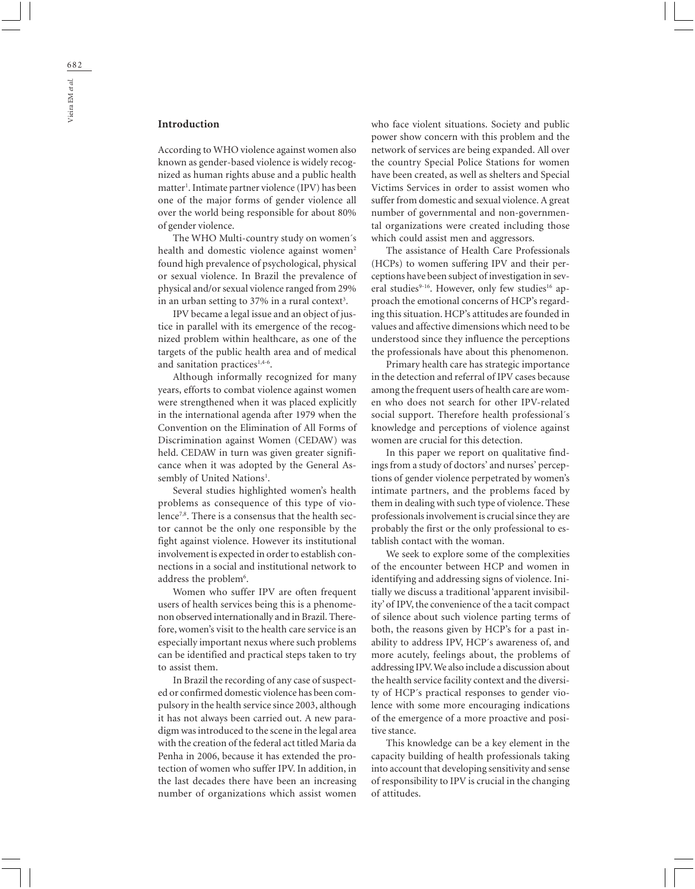# **Introduction**

According to WHO violence against women also known as gender-based violence is widely recognized as human rights abuse and a public health matter1 . Intimate partner violence (IPV) has been one of the major forms of gender violence all over the world being responsible for about 80% of gender violence.

The WHO Multi-country study on women´s health and domestic violence against women<sup>2</sup> found high prevalence of psychological, physical or sexual violence. In Brazil the prevalence of physical and/or sexual violence ranged from 29% in an urban setting to 37% in a rural context<sup>3</sup>.

IPV became a legal issue and an object of justice in parallel with its emergence of the recognized problem within healthcare, as one of the targets of the public health area and of medical and sanitation practices<sup>1,4-6</sup>.

Although informally recognized for many years, efforts to combat violence against women were strengthened when it was placed explicitly in the international agenda after 1979 when the Convention on the Elimination of All Forms of Discrimination against Women (CEDAW) was held. CEDAW in turn was given greater significance when it was adopted by the General Assembly of United Nations<sup>1</sup>.

Several studies highlighted women's health problems as consequence of this type of violence7,8. There is a consensus that the health sector cannot be the only one responsible by the fight against violence. However its institutional involvement is expected in order to establish connections in a social and institutional network to address the problem<sup>6</sup>.

Women who suffer IPV are often frequent users of health services being this is a phenomenon observed internationally and in Brazil. Therefore, women's visit to the health care service is an especially important nexus where such problems can be identified and practical steps taken to try to assist them.

In Brazil the recording of any case of suspected or confirmed domestic violence has been compulsory in the health service since 2003, although it has not always been carried out. A new paradigm was introduced to the scene in the legal area with the creation of the federal act titled Maria da Penha in 2006, because it has extended the protection of women who suffer IPV. In addition, in the last decades there have been an increasing number of organizations which assist women

who face violent situations. Society and public power show concern with this problem and the network of services are being expanded. All over the country Special Police Stations for women have been created, as well as shelters and Special Victims Services in order to assist women who suffer from domestic and sexual violence. A great number of governmental and non-governmental organizations were created including those which could assist men and aggressors.

The assistance of Health Care Professionals (HCPs) to women suffering IPV and their perceptions have been subject of investigation in several studies<sup>9-16</sup>. However, only few studies<sup>16</sup> approach the emotional concerns of HCP's regarding this situation. HCP's attitudes are founded in values and affective dimensions which need to be understood since they influence the perceptions the professionals have about this phenomenon.

Primary health care has strategic importance in the detection and referral of IPV cases because among the frequent users of health care are women who does not search for other IPV-related social support. Therefore health professional´s knowledge and perceptions of violence against women are crucial for this detection.

In this paper we report on qualitative findings from a study of doctors' and nurses' perceptions of gender violence perpetrated by women's intimate partners, and the problems faced by them in dealing with such type of violence. These professionals involvement is crucial since they are probably the first or the only professional to establish contact with the woman.

We seek to explore some of the complexities of the encounter between HCP and women in identifying and addressing signs of violence. Initially we discuss a traditional 'apparent invisibility' of IPV, the convenience of the a tacit compact of silence about such violence parting terms of both, the reasons given by HCP's for a past inability to address IPV, HCP´s awareness of, and more acutely, feelings about, the problems of addressing IPV. We also include a discussion about the health service facility context and the diversity of HCP´s practical responses to gender violence with some more encouraging indications of the emergence of a more proactive and positive stance.

This knowledge can be a key element in the capacity building of health professionals taking into account that developing sensitivity and sense of responsibility to IPV is crucial in the changing of attitudes.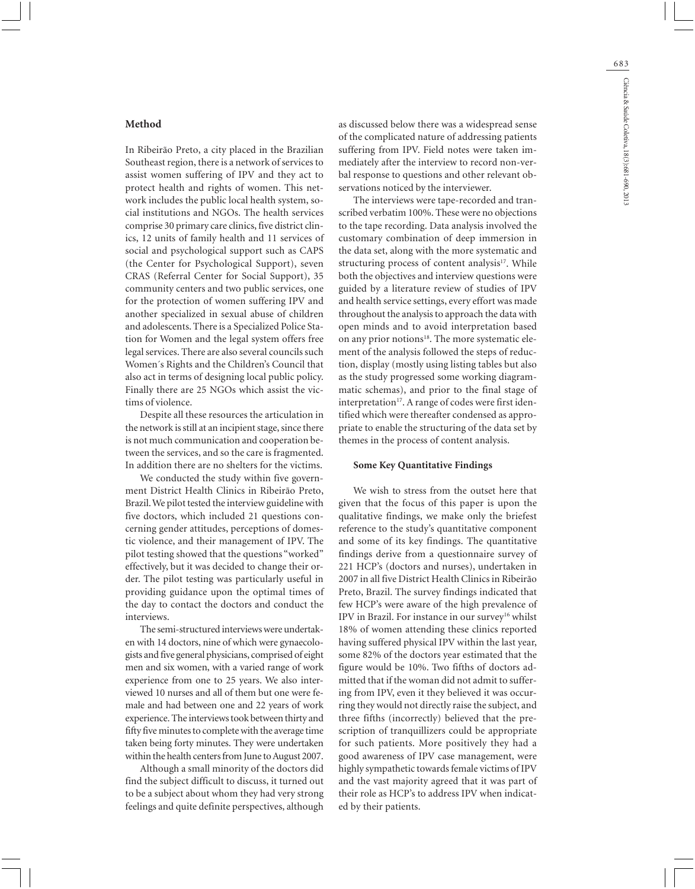## **Method**

In Ribeirão Preto, a city placed in the Brazilian Southeast region, there is a network of services to assist women suffering of IPV and they act to protect health and rights of women. This network includes the public local health system, social institutions and NGOs. The health services comprise 30 primary care clinics, five district clinics, 12 units of family health and 11 services of social and psychological support such as CAPS (the Center for Psychological Support), seven CRAS (Referral Center for Social Support), 35 community centers and two public services, one for the protection of women suffering IPV and another specialized in sexual abuse of children and adolescents. There is a Specialized Police Station for Women and the legal system offers free legal services. There are also several councils such Women´s Rights and the Children's Council that also act in terms of designing local public policy. Finally there are 25 NGOs which assist the victims of violence.

Despite all these resources the articulation in the network is still at an incipient stage, since there is not much communication and cooperation between the services, and so the care is fragmented. In addition there are no shelters for the victims.

We conducted the study within five government District Health Clinics in Ribeirão Preto, Brazil. We pilot tested the interview guideline with five doctors, which included 21 questions concerning gender attitudes, perceptions of domestic violence, and their management of IPV. The pilot testing showed that the questions "worked" effectively, but it was decided to change their order. The pilot testing was particularly useful in providing guidance upon the optimal times of the day to contact the doctors and conduct the interviews.

The semi-structured interviews were undertaken with 14 doctors, nine of which were gynaecologists and five general physicians, comprised of eight men and six women, with a varied range of work experience from one to 25 years. We also interviewed 10 nurses and all of them but one were female and had between one and 22 years of work experience. The interviews took between thirty and fifty five minutes to complete with the average time taken being forty minutes. They were undertaken within the health centers from June to August 2007.

Although a small minority of the doctors did find the subject difficult to discuss, it turned out to be a subject about whom they had very strong feelings and quite definite perspectives, although

as discussed below there was a widespread sense of the complicated nature of addressing patients suffering from IPV. Field notes were taken immediately after the interview to record non-verbal response to questions and other relevant observations noticed by the interviewer.

The interviews were tape-recorded and transcribed verbatim 100%. These were no objections to the tape recording. Data analysis involved the customary combination of deep immersion in the data set, along with the more systematic and structuring process of content analysis<sup>17</sup>. While both the objectives and interview questions were guided by a literature review of studies of IPV and health service settings, every effort was made throughout the analysis to approach the data with open minds and to avoid interpretation based on any prior notions<sup>18</sup>. The more systematic element of the analysis followed the steps of reduction, display (mostly using listing tables but also as the study progressed some working diagrammatic schemas), and prior to the final stage of interpretation<sup>17</sup>. A range of codes were first identified which were thereafter condensed as appropriate to enable the structuring of the data set by themes in the process of content analysis.

#### **Some Key Quantitative Findings**

We wish to stress from the outset here that given that the focus of this paper is upon the qualitative findings, we make only the briefest reference to the study's quantitative component and some of its key findings. The quantitative findings derive from a questionnaire survey of 221 HCP's (doctors and nurses), undertaken in 2007 in all five District Health Clinics in Ribeirão Preto, Brazil. The survey findings indicated that few HCP's were aware of the high prevalence of IPV in Brazil. For instance in our survey<sup>16</sup> whilst 18% of women attending these clinics reported having suffered physical IPV within the last year, some 82% of the doctors year estimated that the figure would be 10%. Two fifths of doctors admitted that if the woman did not admit to suffering from IPV, even it they believed it was occurring they would not directly raise the subject, and three fifths (incorrectly) believed that the prescription of tranquillizers could be appropriate for such patients. More positively they had a good awareness of IPV case management, were highly sympathetic towards female victims of IPV and the vast majority agreed that it was part of their role as HCP's to address IPV when indicated by their patients.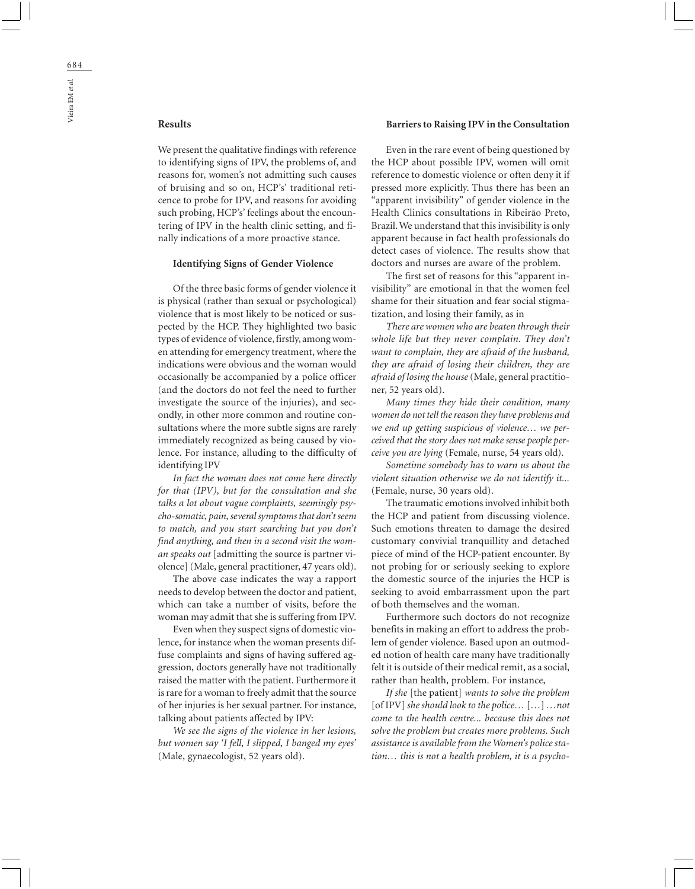## **Results**

We present the qualitative findings with reference to identifying signs of IPV, the problems of, and reasons for, women's not admitting such causes of bruising and so on, HCP's' traditional reticence to probe for IPV, and reasons for avoiding such probing, HCP's' feelings about the encountering of IPV in the health clinic setting, and finally indications of a more proactive stance.

#### **Identifying Signs of Gender Violence**

Of the three basic forms of gender violence it is physical (rather than sexual or psychological) violence that is most likely to be noticed or suspected by the HCP. They highlighted two basic types of evidence of violence, firstly, among women attending for emergency treatment, where the indications were obvious and the woman would occasionally be accompanied by a police officer (and the doctors do not feel the need to further investigate the source of the injuries), and secondly, in other more common and routine consultations where the more subtle signs are rarely immediately recognized as being caused by violence. For instance, alluding to the difficulty of identifying IPV

*In fact the woman does not come here directly for that (IPV), but for the consultation and she talks a lot about vague complaints, seemingly psycho-somatic, pain, several symptoms that don't seem to match, and you start searching but you don't find anything, and then in a second visit the woman speaks out* [admitting the source is partner violence] (Male, general practitioner, 47 years old).

The above case indicates the way a rapport needs to develop between the doctor and patient, which can take a number of visits, before the woman may admit that she is suffering from IPV.

Even when they suspect signs of domestic violence, for instance when the woman presents diffuse complaints and signs of having suffered aggression, doctors generally have not traditionally raised the matter with the patient. Furthermore it is rare for a woman to freely admit that the source of her injuries is her sexual partner. For instance, talking about patients affected by IPV:

*We see the signs of the violence in her lesions, but women say 'I fell, I slipped, I banged my eyes'* (Male, gynaecologist, 52 years old).

#### **Barriers to Raising IPV in the Consultation**

Even in the rare event of being questioned by the HCP about possible IPV, women will omit reference to domestic violence or often deny it if pressed more explicitly. Thus there has been an "apparent invisibility" of gender violence in the Health Clinics consultations in Ribeirão Preto, Brazil. We understand that this invisibility is only apparent because in fact health professionals do detect cases of violence. The results show that doctors and nurses are aware of the problem.

The first set of reasons for this "apparent invisibility" are emotional in that the women feel shame for their situation and fear social stigmatization, and losing their family, as in

*There are women who are beaten through their whole life but they never complain. They don't want to complain, they are afraid of the husband, they are afraid of losing their children, they are afraid of losing the house* (Male, general practitioner, 52 years old).

*Many times they hide their condition, many women do not tell the reason they have problems and we end up getting suspicious of violence… we perceived that the story does not make sense people perceive you are lying* (Female, nurse, 54 years old).

*Sometime somebody has to warn us about the violent situation otherwise we do not identify it...* (Female, nurse, 30 years old).

The traumatic emotions involved inhibit both the HCP and patient from discussing violence. Such emotions threaten to damage the desired customary convivial tranquillity and detached piece of mind of the HCP-patient encounter. By not probing for or seriously seeking to explore the domestic source of the injuries the HCP is seeking to avoid embarrassment upon the part of both themselves and the woman.

Furthermore such doctors do not recognize benefits in making an effort to address the problem of gender violence. Based upon an outmoded notion of health care many have traditionally felt it is outside of their medical remit, as a social, rather than health, problem. For instance,

*If she* [the patient] *wants to solve the problem* [of IPV] *she should look to the police…* […] *…not come to the health centre... because this does not solve the problem but creates more problems. Such assistance is available from the Women's police station… this is not a health problem, it is a psycho-*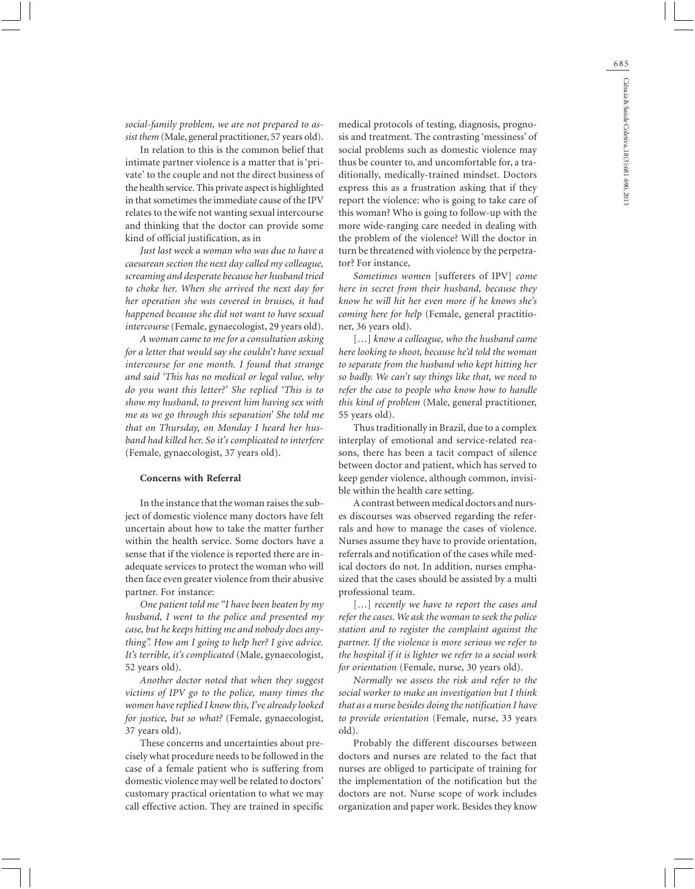*social-family problem, we are not prepared to assist them* (Male, general practitioner, 57 years old).

In relation to this is the common belief that intimate partner violence is a matter that is 'private' to the couple and not the direct business of the health service. This private aspect is highlighted in that sometimes the immediate cause of the IPV relates to the wife not wanting sexual intercourse and thinking that the doctor can provide some kind of official justification, as in

*Just last week a woman who was due to have a caesarean section the next day called my colleague, screaming and desperate because her husband tried to choke her. When she arrived the next day for her operation she was covered in bruises, it had happened because she did not want to have sexual intercourse* (Female, gynaecologist, 29 years old).

*A woman came to me for a consultation asking for a letter that would say she couldn't have sexual intercourse for one month. I found that strange and said 'This has no medical or legal value, why do you want this letter?' She replied 'This is to show my husband, to prevent him having sex with me as we go through this separation' She told me that on Thursday, on Monday I heard her husband had killed her. So it's complicated to interfere* (Female, gynaecologist, 37 years old).

## **Concerns with Referral**

In the instance that the woman raises the subject of domestic violence many doctors have felt uncertain about how to take the matter further within the health service. Some doctors have a sense that if the violence is reported there are inadequate services to protect the woman who will then face even greater violence from their abusive partner. For instance:

*One patient told me "I have been beaten by my husband, I went to the police and presented my case, but he keeps hitting me and nobody does anything". How am I going to help her? I give advice. It's terrible, it's complicated* (Male, gynaecologist, 52 years old).

*Another doctor noted that when they suggest victims of IPV go to the police, many times the women have replied I know this, I've already looked for justice, but so what?* (Female, gynaecologist, 37 years old).

These concerns and uncertainties about precisely what procedure needs to be followed in the case of a female patient who is suffering from domestic violence may well be related to doctors' customary practical orientation to what we may call effective action. They are trained in specific

medical protocols of testing, diagnosis, prognosis and treatment. The contrasting 'messiness' of social problems such as domestic violence may thus be counter to, and uncomfortable for, a traditionally, medically-trained mindset. Doctors express this as a frustration asking that if they report the violence: who is going to take care of this woman? Who is going to follow-up with the more wide-ranging care needed in dealing with the problem of the violence? Will the doctor in turn be threatened with violence by the perpetrator? For instance,

*Sometimes women* [sufferers of IPV] *come here in secret from their husband, because they know he will hit her even more if he knows she's coming here for help* (Female, general practitioner, 36 years old).

[…] *know a colleague, who the husband came here looking to shoot, because he'd told the woman to separate from the husband who kept hitting her so badly. We can't say things like that, we need to refer the case to people who know how to handle this kind of problem* (Male, general practitioner, 55 years old).

Thus traditionally in Brazil, due to a complex interplay of emotional and service-related reasons, there has been a tacit compact of silence between doctor and patient, which has served to keep gender violence, although common, invisible within the health care setting.

A contrast between medical doctors and nurses discourses was observed regarding the referrals and how to manage the cases of violence. Nurses assume they have to provide orientation, referrals and notification of the cases while medical doctors do not. In addition, nurses emphasized that the cases should be assisted by a multi professional team.

[…] *recently we have to report the cases and refer the cases. We ask the woman to seek the police station and to register the complaint against the partner. If the violence is more serious we refer to the hospital if it is lighter we refer to a social work for orientation* (Female, nurse, 30 years old).

*Normally we assess the risk and refer to the social worker to make an investigation but I think that as a nurse besides doing the notification I have to provide orientation* (Female, nurse, 33 years old).

Probably the different discourses between doctors and nurses are related to the fact that nurses are obliged to participate of training for the implementation of the notification but the doctors are not. Nurse scope of work includes organization and paper work. Besides they know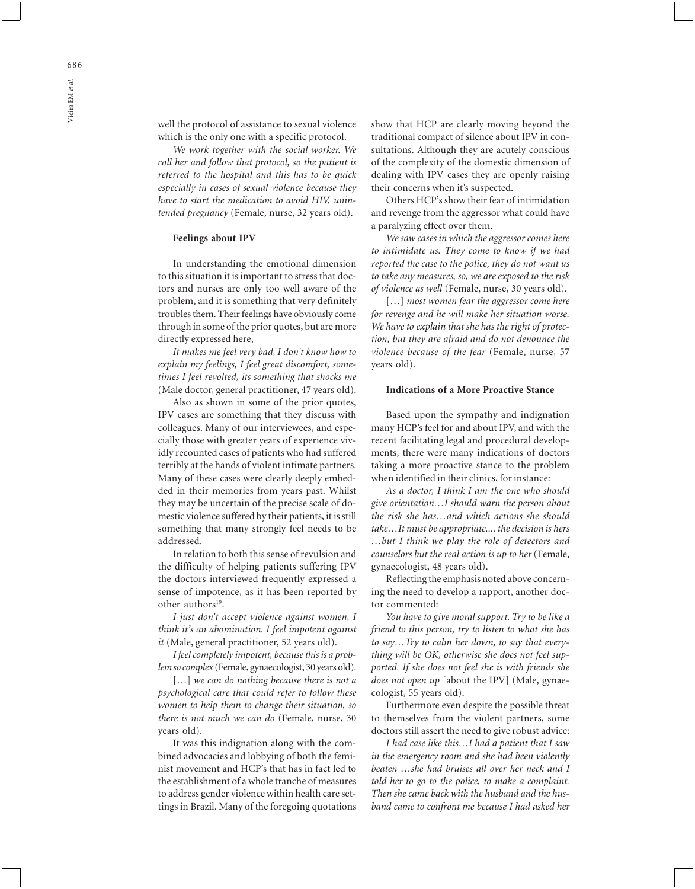well the protocol of assistance to sexual violence which is the only one with a specific protocol.

*We work together with the social worker. We call her and follow that protocol, so the patient is referred to the hospital and this has to be quick especially in cases of sexual violence because they have to start the medication to avoid HIV, unintended pregnancy* (Female, nurse, 32 years old).

#### **Feelings about IPV**

In understanding the emotional dimension to this situation it is important to stress that doctors and nurses are only too well aware of the problem, and it is something that very definitely troubles them. Their feelings have obviously come through in some of the prior quotes, but are more directly expressed here,

*It makes me feel very bad, I don't know how to explain my feelings, I feel great discomfort, sometimes I feel revolted, its something that shocks me* (Male doctor, general practitioner, 47 years old).

Also as shown in some of the prior quotes, IPV cases are something that they discuss with colleagues. Many of our interviewees, and especially those with greater years of experience vividly recounted cases of patients who had suffered terribly at the hands of violent intimate partners. Many of these cases were clearly deeply embedded in their memories from years past. Whilst they may be uncertain of the precise scale of domestic violence suffered by their patients, it is still something that many strongly feel needs to be addressed.

In relation to both this sense of revulsion and the difficulty of helping patients suffering IPV the doctors interviewed frequently expressed a sense of impotence, as it has been reported by other authors<sup>19</sup>.

*I just don't accept violence against women, I think it's an abomination. I feel impotent against it* (Male, general practitioner, 52 years old).

*I feel completely impotent, because this is a problem so complex* (Female, gynaecologist, 30 years old).

[…] *we can do nothing because there is not a psychological care that could refer to follow these women to help them to change their situation, so there is not much we can do* (Female, nurse, 30 years old).

It was this indignation along with the combined advocacies and lobbying of both the feminist movement and HCP's that has in fact led to the establishment of a whole tranche of measures to address gender violence within health care settings in Brazil. Many of the foregoing quotations

show that HCP are clearly moving beyond the traditional compact of silence about IPV in consultations. Although they are acutely conscious of the complexity of the domestic dimension of dealing with IPV cases they are openly raising their concerns when it's suspected.

Others HCP's show their fear of intimidation and revenge from the aggressor what could have a paralyzing effect over them.

*We saw cases in which the aggressor comes here to intimidate us. They come to know if we had reported the case to the police, they do not want us to take any measures, so, we are exposed to the risk of violence as well* (Female, nurse, 30 years old).

[…] *most women fear the aggressor come here for revenge and he will make her situation worse. We have to explain that she has the right of protection, but they are afraid and do not denounce the violence because of the fear* (Female, nurse, 57 years old).

#### **Indications of a More Proactive Stance**

Based upon the sympathy and indignation many HCP's feel for and about IPV, and with the recent facilitating legal and procedural developments, there were many indications of doctors taking a more proactive stance to the problem when identified in their clinics, for instance:

*As a doctor, I think I am the one who should give orientation…I should warn the person about the risk she has…and which actions she should take…It must be appropriate.... the decision is hers …but I think we play the role of detectors and counselors but the real action is up to her* (Female, gynaecologist, 48 years old).

Reflecting the emphasis noted above concerning the need to develop a rapport, another doctor commented:

*You have to give moral support. Try to be like a friend to this person, try to listen to what she has to say…Try to calm her down, to say that everything will be OK, otherwise she does not feel supported. If she does not feel she is with friends she does not open up* [about the IPV] (Male, gynaecologist, 55 years old).

Furthermore even despite the possible threat to themselves from the violent partners, some doctors still assert the need to give robust advice:

*I had case like this…I had a patient that I saw in the emergency room and she had been violently beaten …she had bruises all over her neck and I told her to go to the police, to make a complaint. Then she came back with the husband and the husband came to confront me because I had asked her*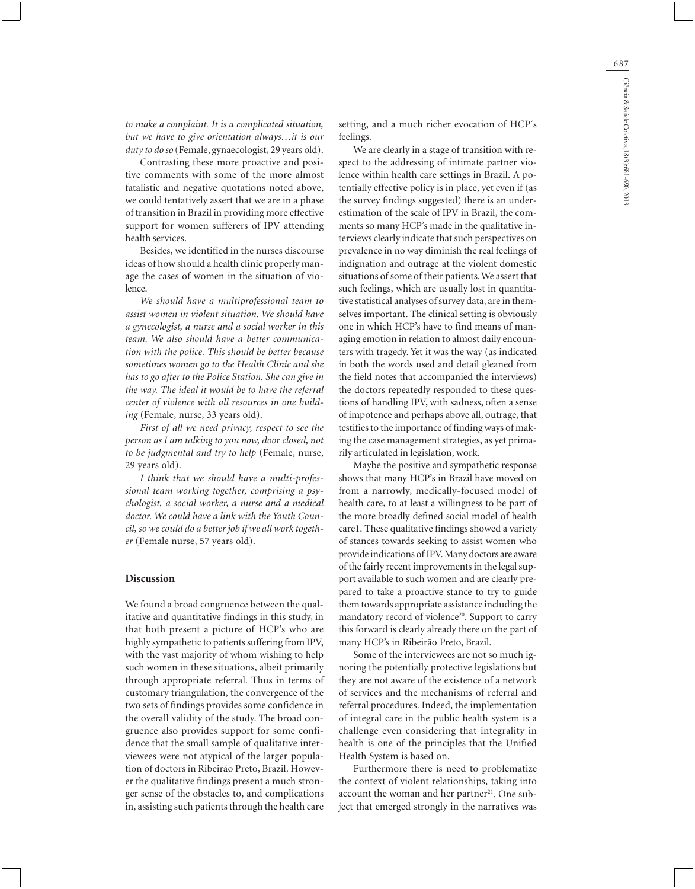*to make a complaint. It is a complicated situation, but we have to give orientation always…it is our duty to do so* (Female, gynaecologist, 29 years old).

Contrasting these more proactive and positive comments with some of the more almost fatalistic and negative quotations noted above, we could tentatively assert that we are in a phase of transition in Brazil in providing more effective support for women sufferers of IPV attending health services.

Besides, we identified in the nurses discourse ideas of how should a health clinic properly manage the cases of women in the situation of violence.

*We should have a multiprofessional team to assist women in violent situation. We should have a gynecologist, a nurse and a social worker in this team. We also should have a better communication with the police. This should be better because sometimes women go to the Health Clinic and she has to go after to the Police Station. She can give in the way. The ideal it would be to have the referral center of violence with all resources in one building* (Female, nurse, 33 years old).

*First of all we need privacy, respect to see the person as I am talking to you now, door closed, not to be judgmental and try to help* (Female, nurse, 29 years old).

*I think that we should have a multi-professional team working together, comprising a psychologist, a social worker, a nurse and a medical doctor. We could have a link with the Youth Council, so we could do a better job if we all work together* (Female nurse, 57 years old).

## **Discussion**

We found a broad congruence between the qualitative and quantitative findings in this study, in that both present a picture of HCP's who are highly sympathetic to patients suffering from IPV, with the vast majority of whom wishing to help such women in these situations, albeit primarily through appropriate referral. Thus in terms of customary triangulation, the convergence of the two sets of findings provides some confidence in the overall validity of the study. The broad congruence also provides support for some confidence that the small sample of qualitative interviewees were not atypical of the larger population of doctors in Ribeirão Preto, Brazil. However the qualitative findings present a much stronger sense of the obstacles to, and complications in, assisting such patients through the health care

setting, and a much richer evocation of HCP´s feelings.

We are clearly in a stage of transition with respect to the addressing of intimate partner violence within health care settings in Brazil. A potentially effective policy is in place, yet even if (as the survey findings suggested) there is an underestimation of the scale of IPV in Brazil, the comments so many HCP's made in the qualitative interviews clearly indicate that such perspectives on prevalence in no way diminish the real feelings of indignation and outrage at the violent domestic situations of some of their patients. We assert that such feelings, which are usually lost in quantitative statistical analyses of survey data, are in themselves important. The clinical setting is obviously one in which HCP's have to find means of managing emotion in relation to almost daily encounters with tragedy. Yet it was the way (as indicated in both the words used and detail gleaned from the field notes that accompanied the interviews) the doctors repeatedly responded to these questions of handling IPV, with sadness, often a sense of impotence and perhaps above all, outrage, that testifies to the importance of finding ways of making the case management strategies, as yet primarily articulated in legislation, work.

Maybe the positive and sympathetic response shows that many HCP's in Brazil have moved on from a narrowly, medically-focused model of health care, to at least a willingness to be part of the more broadly defined social model of health care1. These qualitative findings showed a variety of stances towards seeking to assist women who provide indications of IPV. Many doctors are aware of the fairly recent improvements in the legal support available to such women and are clearly prepared to take a proactive stance to try to guide them towards appropriate assistance including the mandatory record of violence<sup>20</sup>. Support to carry this forward is clearly already there on the part of many HCP's in Ribeirão Preto, Brazil.

Some of the interviewees are not so much ignoring the potentially protective legislations but they are not aware of the existence of a network of services and the mechanisms of referral and referral procedures. Indeed, the implementation of integral care in the public health system is a challenge even considering that integrality in health is one of the principles that the Unified Health System is based on.

Furthermore there is need to problematize the context of violent relationships, taking into account the woman and her partner<sup>21</sup>. One subject that emerged strongly in the narratives was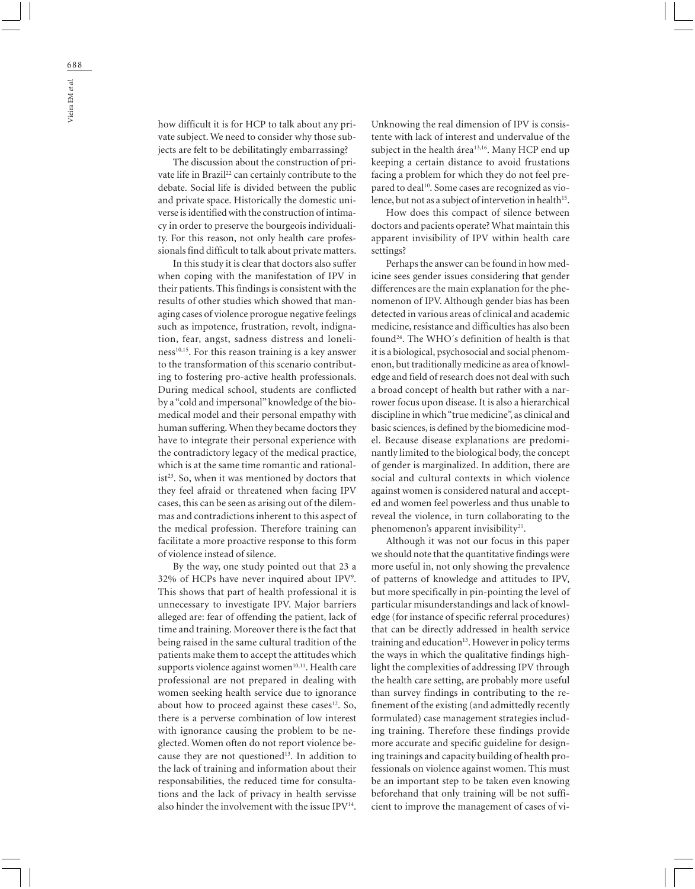how difficult it is for HCP to talk about any private subject. We need to consider why those subjects are felt to be debilitatingly embarrassing?

The discussion about the construction of private life in Brazil<sup>22</sup> can certainly contribute to the debate. Social life is divided between the public and private space. Historically the domestic universe is identified with the construction of intimacy in order to preserve the bourgeois individuality. For this reason, not only health care professionals find difficult to talk about private matters.

In this study it is clear that doctors also suffer when coping with the manifestation of IPV in their patients. This findings is consistent with the results of other studies which showed that managing cases of violence prorogue negative feelings such as impotence, frustration, revolt, indignation, fear, angst, sadness distress and loneliness<sup>10,15</sup>. For this reason training is a key answer to the transformation of this scenario contributing to fostering pro-active health professionals. During medical school, students are conflicted by a "cold and impersonal" knowledge of the biomedical model and their personal empathy with human suffering. When they became doctors they have to integrate their personal experience with the contradictory legacy of the medical practice, which is at the same time romantic and rational $ist^{23}$ . So, when it was mentioned by doctors that they feel afraid or threatened when facing IPV cases, this can be seen as arising out of the dilemmas and contradictions inherent to this aspect of the medical profession. Therefore training can facilitate a more proactive response to this form of violence instead of silence.

By the way, one study pointed out that 23 a 32% of HCPs have never inquired about IPV9 . This shows that part of health professional it is unnecessary to investigate IPV. Major barriers alleged are: fear of offending the patient, lack of time and training. Moreover there is the fact that being raised in the same cultural tradition of the patients make them to accept the attitudes which supports violence against women<sup>10,11</sup>. Health care professional are not prepared in dealing with women seeking health service due to ignorance about how to proceed against these cases $^{12}$ . So, there is a perverse combination of low interest with ignorance causing the problem to be neglected. Women often do not report violence because they are not questioned<sup>13</sup>. In addition to the lack of training and information about their responsabilities, the reduced time for consultations and the lack of privacy in health servisse also hinder the involvement with the issue IPV<sup>14</sup>.

Unknowing the real dimension of IPV is consistente with lack of interest and undervalue of the subject in the health área<sup>13,16</sup>. Many HCP end up keeping a certain distance to avoid frustations facing a problem for which they do not feel prepared to deal<sup>10</sup>. Some cases are recognized as violence, but not as a subject of intervetion in health<sup>15</sup>.

How does this compact of silence between doctors and pacients operate? What maintain this apparent invisibility of IPV within health care settings?

Perhaps the answer can be found in how medicine sees gender issues considering that gender differences are the main explanation for the phenomenon of IPV. Although gender bias has been detected in various areas of clinical and academic medicine, resistance and difficulties has also been found24. The WHO´s definition of health is that it is a biological, psychosocial and social phenomenon, but traditionally medicine as area of knowledge and field of research does not deal with such a broad concept of health but rather with a narrower focus upon disease. It is also a hierarchical discipline in which "true medicine", as clinical and basic sciences, is defined by the biomedicine model. Because disease explanations are predominantly limited to the biological body, the concept of gender is marginalized. In addition, there are social and cultural contexts in which violence against women is considered natural and accepted and women feel powerless and thus unable to reveal the violence, in turn collaborating to the phenomenon's apparent invisibility<sup>25</sup>.

Although it was not our focus in this paper we should note that the quantitative findings were more useful in, not only showing the prevalence of patterns of knowledge and attitudes to IPV, but more specifically in pin-pointing the level of particular misunderstandings and lack of knowledge (for instance of specific referral procedures) that can be directly addressed in health service training and education<sup>13</sup>. However in policy terms the ways in which the qualitative findings highlight the complexities of addressing IPV through the health care setting, are probably more useful than survey findings in contributing to the refinement of the existing (and admittedly recently formulated) case management strategies including training. Therefore these findings provide more accurate and specific guideline for designing trainings and capacity building of health professionals on violence against women. This must be an important step to be taken even knowing beforehand that only training will be not sufficient to improve the management of cases of vi-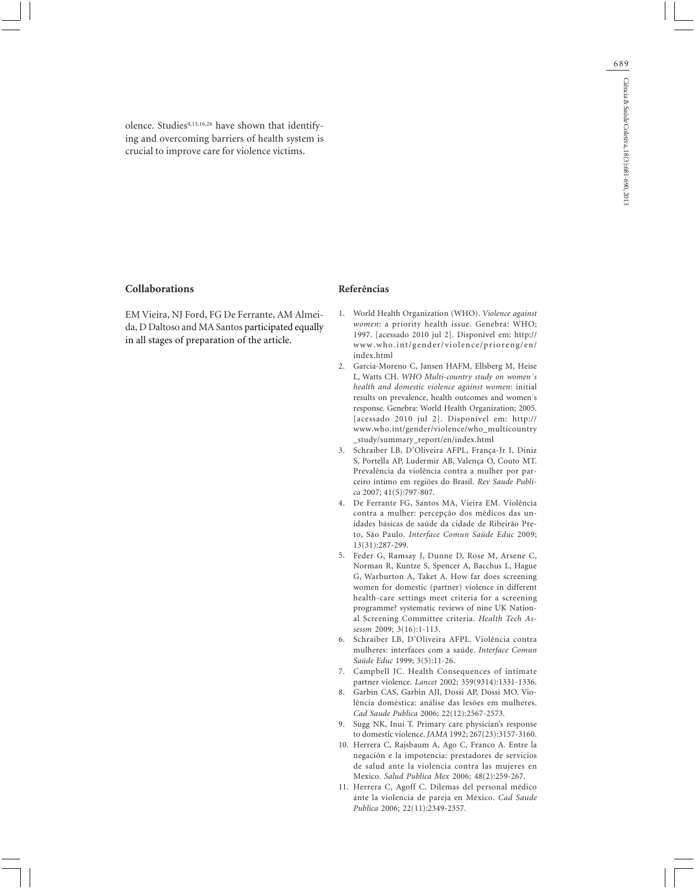olence. Studies<sup>4,15,16,26</sup> have shown that identifying and overcoming barriers of health system is crucial to improve care for violence victims.

## **Collaborations**

EM Vieira, NJ Ford, FG De Ferrante, AM Almeida, D Daltoso and MA Santos participated equally in all stages of preparation of the article.

## **Referências**

- World Health Organization (WHO). *Violence against* 1. *women*: a priority health issue. Genebra: WHO; 1997. [acessado 2010 jul 2]. Disponível em: http:// www.who.int/gender/violence/prioreng/en/ index.html
- Garcia-Moreno C, Jansen HAFM, Ellsberg M, Heise 2. L, Watts CH. *WHO Multi-country study on women´s health and domestic violence against women*: initial results on prevalence, health outcomes and women´s response. Genebra: World Health Organization; 2005. [acessado 2010 jul 2]. Disponível em: http:// www.who.int/gender/violence/who\_multicountry \_study/summary\_report/en/index.html
- Schraiber LB, D'Oliveira AFPL, França-Jr I, Diniz 3. S, Portella AP, Ludermir AB, Valença O, Couto MT. Prevalência da violência contra a mulher por parceiro íntimo em regiões do Brasil. *Rev Saude Publica* 2007; 41(5):797-807.
- De Ferrante FG, Santos MA, Vieira EM. Violência 4. contra a mulher: percepção dos médicos das unidades básicas de saúde da cidade de Ribeirão Preto, São Paulo. *Interface Comun Saúde Educ* 2009; 13(31):287-299.
- Feder G, Ramsay J, Dunne D, Rose M, Arsene C, 5. Norman R, Kuntze S, Spencer A, Bacchus L, Hague G, Warburton A, Taket A. How far does screening women for domestic (partner) violence in different health-care settings meet criteria for a screening programme? systematic reviews of nine UK National Screening Committee criteria. *Health Tech Assessm* 2009; 3(16):1-113.
- 6. Schraiber LB, D'Oliveira AFPL. Violência contra mulheres: interfaces com a saúde. *Interface Comun Saúde Educ* 1999; 3(5):11-26.
- Campbell JC. Health Consequences of intimate 7. partner violence. *Lancet* 2002; 359(9314):1331-1336.
- Garbin CAS, Garbin AJI, Dossi AP, Dossi MO. Violência doméstica: análise das lesões em mulheres. *Cad Saude Publica* 2006; 22(12):2567-2573. 8.
- 9. Sugg NK, Inui T. Primary care physician's response to domestic violence. *JAMA* 1992; 267(23):3157-3160.
- 10. Herrera C, Rajsbaum A, Ago C, Franco A. Entre la negación e la impotencia: prestadores de servicios de salud ante la violencia contra las mujeres en Mexico. *Salud Publica Mex* 2006; 48(2):259-267.
- 11. Herrera C, Agoff C. Dilemas del personal médico ante la violencia de pareja en México. *Cad Saude Publica* 2006; 22(11):2349-2357.